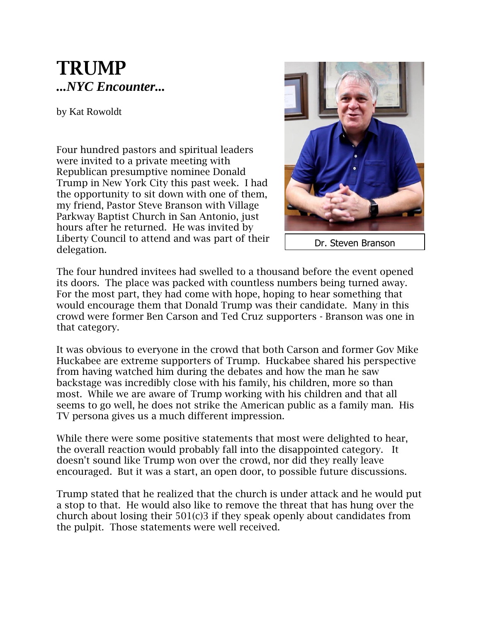## **TRUMP** *...NYC Encounter...*

by Kat Rowoldt

Four hundred pastors and spiritual leaders were invited to a private meeting with Republican presumptive nominee Donald Trump in New York City this past week. I had the opportunity to sit down with one of them, my friend, Pastor Steve Branson with Village Parkway Baptist Church in San Antonio, just hours after he returned. He was invited by Liberty Council to attend and was part of their delegation.



Dr. Steven Branson

The four hundred invitees had swelled to a thousand before the event opened its doors. The place was packed with countless numbers being turned away. For the most part, they had come with hope, hoping to hear something that would encourage them that Donald Trump was their candidate. Many in this crowd were former Ben Carson and Ted Cruz supporters - Branson was one in that category.

It was obvious to everyone in the crowd that both Carson and former Gov Mike Huckabee are extreme supporters of Trump. Huckabee shared his perspective from having watched him during the debates and how the man he saw backstage was incredibly close with his family, his children, more so than most. While we are aware of Trump working with his children and that all seems to go well, he does not strike the American public as a family man. His TV persona gives us a much different impression.

While there were some positive statements that most were delighted to hear, the overall reaction would probably fall into the disappointed category. It doesn't sound like Trump won over the crowd, nor did they really leave encouraged. But it was a start, an open door, to possible future discussions.

Trump stated that he realized that the church is under attack and he would put a stop to that. He would also like to remove the threat that has hung over the church about losing their 501(c)3 if they speak openly about candidates from the pulpit. Those statements were well received.